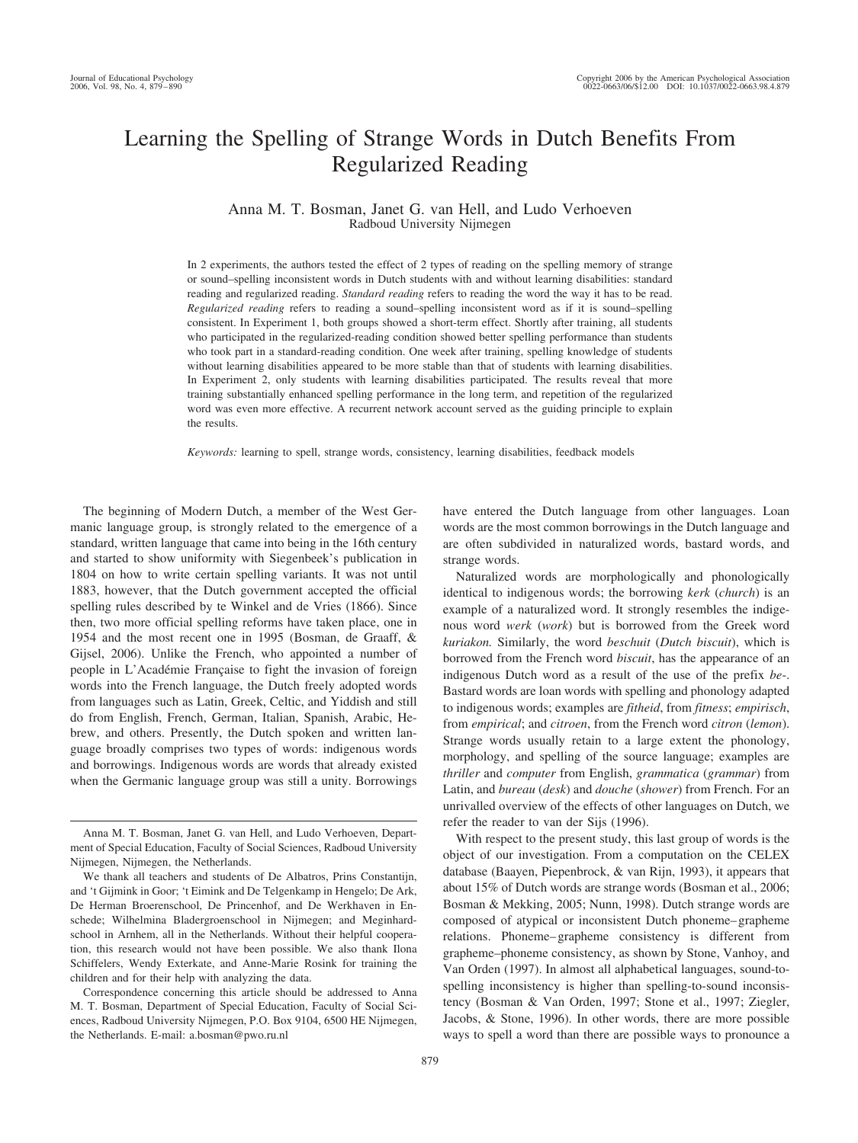# Learning the Spelling of Strange Words in Dutch Benefits From Regularized Reading

# Anna M. T. Bosman, Janet G. van Hell, and Ludo Verhoeven Radboud University Nijmegen

In 2 experiments, the authors tested the effect of 2 types of reading on the spelling memory of strange or sound–spelling inconsistent words in Dutch students with and without learning disabilities: standard reading and regularized reading. *Standard reading* refers to reading the word the way it has to be read. *Regularized reading* refers to reading a sound–spelling inconsistent word as if it is sound–spelling consistent. In Experiment 1, both groups showed a short-term effect. Shortly after training, all students who participated in the regularized-reading condition showed better spelling performance than students who took part in a standard-reading condition. One week after training, spelling knowledge of students without learning disabilities appeared to be more stable than that of students with learning disabilities. In Experiment 2, only students with learning disabilities participated. The results reveal that more training substantially enhanced spelling performance in the long term, and repetition of the regularized word was even more effective. A recurrent network account served as the guiding principle to explain the results.

*Keywords:* learning to spell, strange words, consistency, learning disabilities, feedback models

The beginning of Modern Dutch, a member of the West Germanic language group, is strongly related to the emergence of a standard, written language that came into being in the 16th century and started to show uniformity with Siegenbeek's publication in 1804 on how to write certain spelling variants. It was not until 1883, however, that the Dutch government accepted the official spelling rules described by te Winkel and de Vries (1866). Since then, two more official spelling reforms have taken place, one in 1954 and the most recent one in 1995 (Bosman, de Graaff, & Gijsel, 2006). Unlike the French, who appointed a number of people in L'Académie Française to fight the invasion of foreign words into the French language, the Dutch freely adopted words from languages such as Latin, Greek, Celtic, and Yiddish and still do from English, French, German, Italian, Spanish, Arabic, Hebrew, and others. Presently, the Dutch spoken and written language broadly comprises two types of words: indigenous words and borrowings. Indigenous words are words that already existed when the Germanic language group was still a unity. Borrowings

Correspondence concerning this article should be addressed to Anna M. T. Bosman, Department of Special Education, Faculty of Social Sciences, Radboud University Nijmegen, P.O. Box 9104, 6500 HE Nijmegen, the Netherlands. E-mail: a.bosman@pwo.ru.nl

have entered the Dutch language from other languages. Loan words are the most common borrowings in the Dutch language and are often subdivided in naturalized words, bastard words, and strange words.

Naturalized words are morphologically and phonologically identical to indigenous words; the borrowing *kerk* (*church*) is an example of a naturalized word. It strongly resembles the indigenous word *werk* (*work*) but is borrowed from the Greek word *kuriakon.* Similarly, the word *beschuit* (*Dutch biscuit*), which is borrowed from the French word *biscuit*, has the appearance of an indigenous Dutch word as a result of the use of the prefix *be*-. Bastard words are loan words with spelling and phonology adapted to indigenous words; examples are *fitheid*, from *fitness*; *empirisch*, from *empirical*; and *citroen*, from the French word *citron* (*lemon*). Strange words usually retain to a large extent the phonology, morphology, and spelling of the source language; examples are *thriller* and *computer* from English, *grammatica* (*grammar*) from Latin, and *bureau* (*desk*) and *douche* (*shower*) from French. For an unrivalled overview of the effects of other languages on Dutch, we refer the reader to van der Sijs (1996).

With respect to the present study, this last group of words is the object of our investigation. From a computation on the CELEX database (Baayen, Piepenbrock, & van Rijn, 1993), it appears that about 15% of Dutch words are strange words (Bosman et al., 2006; Bosman & Mekking, 2005; Nunn, 1998). Dutch strange words are composed of atypical or inconsistent Dutch phoneme–grapheme relations. Phoneme–grapheme consistency is different from grapheme–phoneme consistency, as shown by Stone, Vanhoy, and Van Orden (1997). In almost all alphabetical languages, sound-tospelling inconsistency is higher than spelling-to-sound inconsistency (Bosman & Van Orden, 1997; Stone et al., 1997; Ziegler, Jacobs, & Stone, 1996). In other words, there are more possible ways to spell a word than there are possible ways to pronounce a

Anna M. T. Bosman, Janet G. van Hell, and Ludo Verhoeven, Department of Special Education, Faculty of Social Sciences, Radboud University Nijmegen, Nijmegen, the Netherlands.

We thank all teachers and students of De Albatros, Prins Constantijn, and 't Gijmink in Goor; 't Eimink and De Telgenkamp in Hengelo; De Ark, De Herman Broerenschool, De Princenhof, and De Werkhaven in Enschede; Wilhelmina Bladergroenschool in Nijmegen; and Meginhardschool in Arnhem, all in the Netherlands. Without their helpful cooperation, this research would not have been possible. We also thank Ilona Schiffelers, Wendy Exterkate, and Anne-Marie Rosink for training the children and for their help with analyzing the data.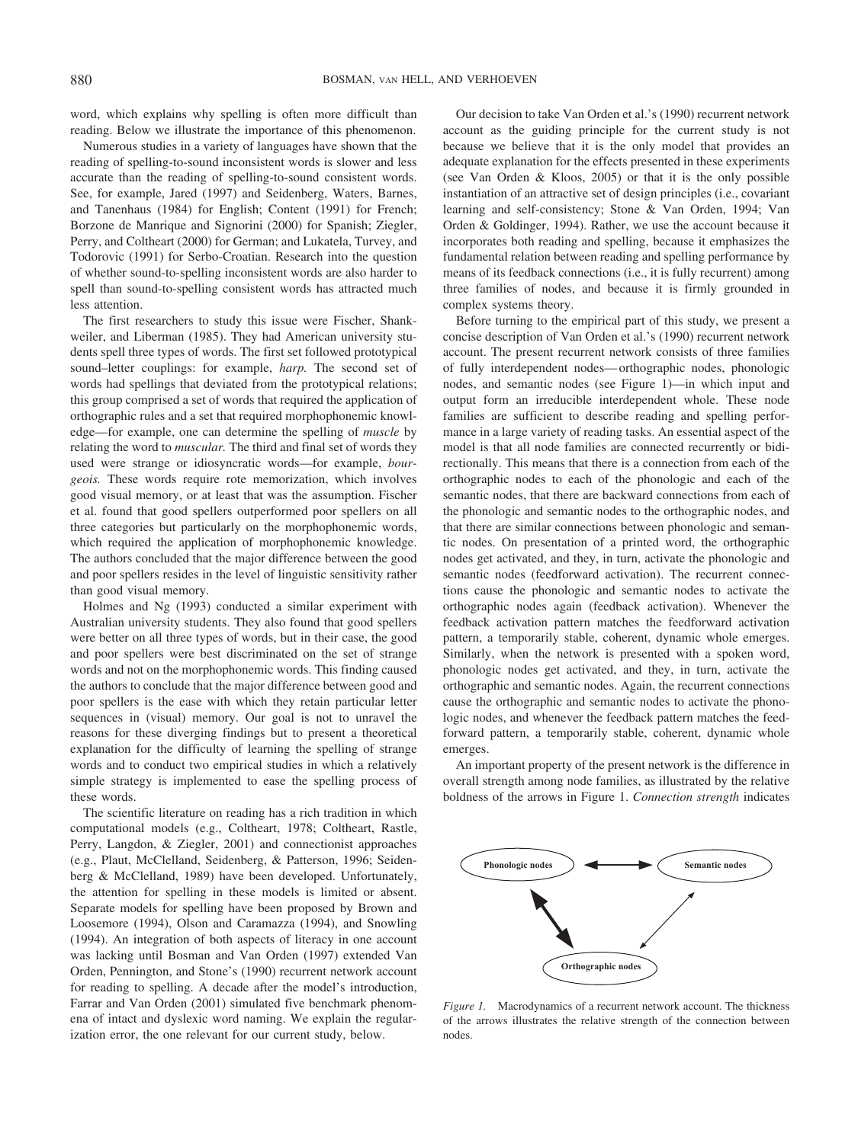word, which explains why spelling is often more difficult than reading. Below we illustrate the importance of this phenomenon.

Numerous studies in a variety of languages have shown that the reading of spelling-to-sound inconsistent words is slower and less accurate than the reading of spelling-to-sound consistent words. See, for example, Jared (1997) and Seidenberg, Waters, Barnes, and Tanenhaus (1984) for English; Content (1991) for French; Borzone de Manrique and Signorini (2000) for Spanish; Ziegler, Perry, and Coltheart (2000) for German; and Lukatela, Turvey, and Todorovic (1991) for Serbo-Croatian. Research into the question of whether sound-to-spelling inconsistent words are also harder to spell than sound-to-spelling consistent words has attracted much less attention.

The first researchers to study this issue were Fischer, Shankweiler, and Liberman (1985). They had American university students spell three types of words. The first set followed prototypical sound–letter couplings: for example, *harp.* The second set of words had spellings that deviated from the prototypical relations; this group comprised a set of words that required the application of orthographic rules and a set that required morphophonemic knowledge—for example, one can determine the spelling of *muscle* by relating the word to *muscular.* The third and final set of words they used were strange or idiosyncratic words—for example, *bourgeois.* These words require rote memorization, which involves good visual memory, or at least that was the assumption. Fischer et al. found that good spellers outperformed poor spellers on all three categories but particularly on the morphophonemic words, which required the application of morphophonemic knowledge. The authors concluded that the major difference between the good and poor spellers resides in the level of linguistic sensitivity rather than good visual memory.

Holmes and Ng (1993) conducted a similar experiment with Australian university students. They also found that good spellers were better on all three types of words, but in their case, the good and poor spellers were best discriminated on the set of strange words and not on the morphophonemic words. This finding caused the authors to conclude that the major difference between good and poor spellers is the ease with which they retain particular letter sequences in (visual) memory. Our goal is not to unravel the reasons for these diverging findings but to present a theoretical explanation for the difficulty of learning the spelling of strange words and to conduct two empirical studies in which a relatively simple strategy is implemented to ease the spelling process of these words.

The scientific literature on reading has a rich tradition in which computational models (e.g., Coltheart, 1978; Coltheart, Rastle, Perry, Langdon, & Ziegler, 2001) and connectionist approaches (e.g., Plaut, McClelland, Seidenberg, & Patterson, 1996; Seidenberg & McClelland, 1989) have been developed. Unfortunately, the attention for spelling in these models is limited or absent. Separate models for spelling have been proposed by Brown and Loosemore (1994), Olson and Caramazza (1994), and Snowling (1994). An integration of both aspects of literacy in one account was lacking until Bosman and Van Orden (1997) extended Van Orden, Pennington, and Stone's (1990) recurrent network account for reading to spelling. A decade after the model's introduction, Farrar and Van Orden (2001) simulated five benchmark phenomena of intact and dyslexic word naming. We explain the regularization error, the one relevant for our current study, below.

Our decision to take Van Orden et al.'s (1990) recurrent network account as the guiding principle for the current study is not because we believe that it is the only model that provides an adequate explanation for the effects presented in these experiments (see Van Orden & Kloos, 2005) or that it is the only possible instantiation of an attractive set of design principles (i.e., covariant learning and self-consistency; Stone & Van Orden, 1994; Van Orden & Goldinger, 1994). Rather, we use the account because it incorporates both reading and spelling, because it emphasizes the fundamental relation between reading and spelling performance by means of its feedback connections (i.e., it is fully recurrent) among three families of nodes, and because it is firmly grounded in complex systems theory.

Before turning to the empirical part of this study, we present a concise description of Van Orden et al.'s (1990) recurrent network account. The present recurrent network consists of three families of fully interdependent nodes—orthographic nodes, phonologic nodes, and semantic nodes (see Figure 1)—in which input and output form an irreducible interdependent whole. These node families are sufficient to describe reading and spelling performance in a large variety of reading tasks. An essential aspect of the model is that all node families are connected recurrently or bidirectionally. This means that there is a connection from each of the orthographic nodes to each of the phonologic and each of the semantic nodes, that there are backward connections from each of the phonologic and semantic nodes to the orthographic nodes, and that there are similar connections between phonologic and semantic nodes. On presentation of a printed word, the orthographic nodes get activated, and they, in turn, activate the phonologic and semantic nodes (feedforward activation). The recurrent connections cause the phonologic and semantic nodes to activate the orthographic nodes again (feedback activation). Whenever the feedback activation pattern matches the feedforward activation pattern, a temporarily stable, coherent, dynamic whole emerges. Similarly, when the network is presented with a spoken word, phonologic nodes get activated, and they, in turn, activate the orthographic and semantic nodes. Again, the recurrent connections cause the orthographic and semantic nodes to activate the phonologic nodes, and whenever the feedback pattern matches the feedforward pattern, a temporarily stable, coherent, dynamic whole emerges.

An important property of the present network is the difference in overall strength among node families, as illustrated by the relative boldness of the arrows in Figure 1. *Connection strength* indicates



*Figure 1.* Macrodynamics of a recurrent network account. The thickness of the arrows illustrates the relative strength of the connection between nodes.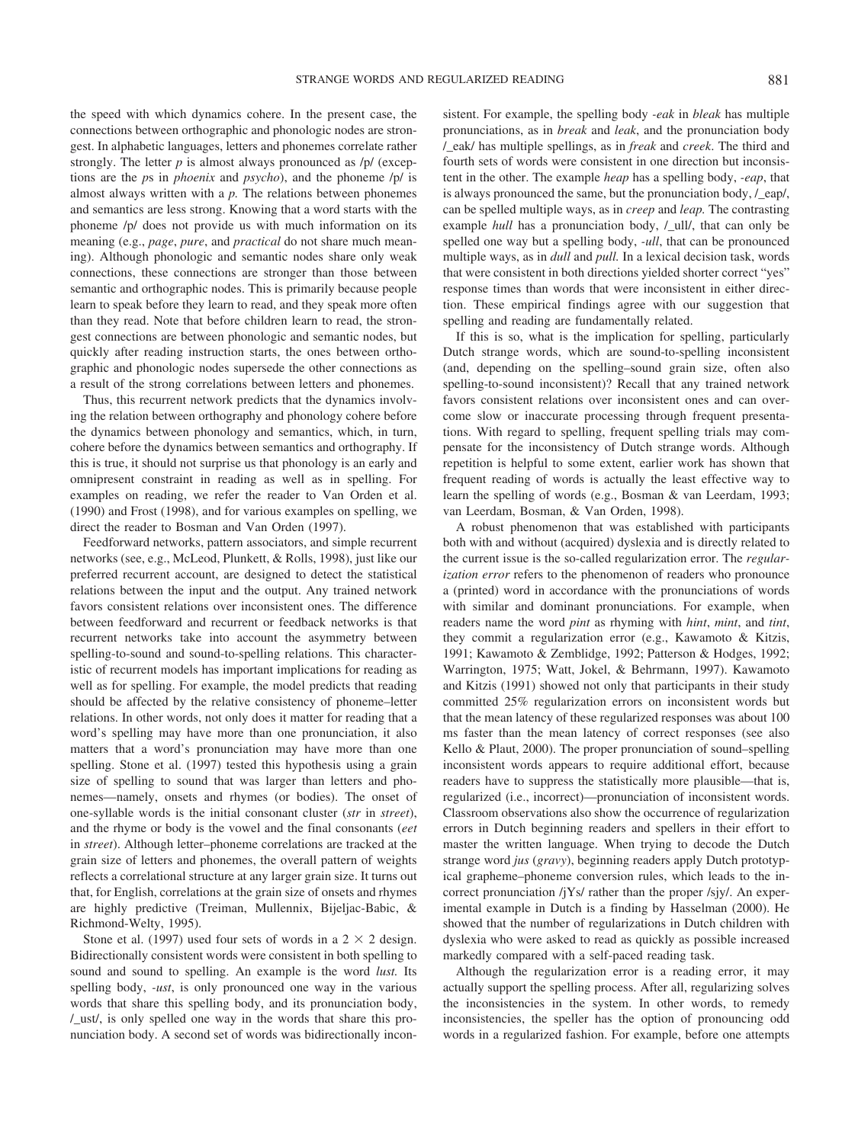the speed with which dynamics cohere. In the present case, the connections between orthographic and phonologic nodes are strongest. In alphabetic languages, letters and phonemes correlate rather strongly. The letter *p* is almost always pronounced as  $/p/$  (exceptions are the *p*s in *phoenix* and *psycho*), and the phoneme /p/ is almost always written with a *p.* The relations between phonemes and semantics are less strong. Knowing that a word starts with the phoneme /p/ does not provide us with much information on its meaning (e.g., *page*, *pure*, and *practical* do not share much meaning). Although phonologic and semantic nodes share only weak connections, these connections are stronger than those between semantic and orthographic nodes. This is primarily because people learn to speak before they learn to read, and they speak more often than they read. Note that before children learn to read, the strongest connections are between phonologic and semantic nodes, but quickly after reading instruction starts, the ones between orthographic and phonologic nodes supersede the other connections as a result of the strong correlations between letters and phonemes.

Thus, this recurrent network predicts that the dynamics involving the relation between orthography and phonology cohere before the dynamics between phonology and semantics, which, in turn, cohere before the dynamics between semantics and orthography. If this is true, it should not surprise us that phonology is an early and omnipresent constraint in reading as well as in spelling. For examples on reading, we refer the reader to Van Orden et al. (1990) and Frost (1998), and for various examples on spelling, we direct the reader to Bosman and Van Orden (1997).

Feedforward networks, pattern associators, and simple recurrent networks (see, e.g., McLeod, Plunkett, & Rolls, 1998), just like our preferred recurrent account, are designed to detect the statistical relations between the input and the output. Any trained network favors consistent relations over inconsistent ones. The difference between feedforward and recurrent or feedback networks is that recurrent networks take into account the asymmetry between spelling-to-sound and sound-to-spelling relations. This characteristic of recurrent models has important implications for reading as well as for spelling. For example, the model predicts that reading should be affected by the relative consistency of phoneme–letter relations. In other words, not only does it matter for reading that a word's spelling may have more than one pronunciation, it also matters that a word's pronunciation may have more than one spelling. Stone et al. (1997) tested this hypothesis using a grain size of spelling to sound that was larger than letters and phonemes—namely, onsets and rhymes (or bodies). The onset of one-syllable words is the initial consonant cluster (*str* in *street*), and the rhyme or body is the vowel and the final consonants (*eet* in *street*). Although letter–phoneme correlations are tracked at the grain size of letters and phonemes, the overall pattern of weights reflects a correlational structure at any larger grain size. It turns out that, for English, correlations at the grain size of onsets and rhymes are highly predictive (Treiman, Mullennix, Bijeljac-Babic, & Richmond-Welty, 1995).

Stone et al. (1997) used four sets of words in a  $2 \times 2$  design. Bidirectionally consistent words were consistent in both spelling to sound and sound to spelling. An example is the word *lust.* Its spelling body, *-ust*, is only pronounced one way in the various words that share this spelling body, and its pronunciation body, /\_ust/, is only spelled one way in the words that share this pronunciation body. A second set of words was bidirectionally inconsistent. For example, the spelling body *-eak* in *bleak* has multiple pronunciations, as in *break* and *leak*, and the pronunciation body /\_eak/ has multiple spellings, as in *freak* and *creek*. The third and fourth sets of words were consistent in one direction but inconsistent in the other. The example *heap* has a spelling body, *-eap*, that is always pronounced the same, but the pronunciation body, /\_eap/, can be spelled multiple ways, as in *creep* and *leap.* The contrasting example *hull* has a pronunciation body,  $/$ ull/, that can only be spelled one way but a spelling body, *-ull*, that can be pronounced multiple ways, as in *dull* and *pull.* In a lexical decision task, words that were consistent in both directions yielded shorter correct "yes" response times than words that were inconsistent in either direction. These empirical findings agree with our suggestion that spelling and reading are fundamentally related.

If this is so, what is the implication for spelling, particularly Dutch strange words, which are sound-to-spelling inconsistent (and, depending on the spelling–sound grain size, often also spelling-to-sound inconsistent)? Recall that any trained network favors consistent relations over inconsistent ones and can overcome slow or inaccurate processing through frequent presentations. With regard to spelling, frequent spelling trials may compensate for the inconsistency of Dutch strange words. Although repetition is helpful to some extent, earlier work has shown that frequent reading of words is actually the least effective way to learn the spelling of words (e.g., Bosman & van Leerdam, 1993; van Leerdam, Bosman, & Van Orden, 1998).

A robust phenomenon that was established with participants both with and without (acquired) dyslexia and is directly related to the current issue is the so-called regularization error. The *regularization error* refers to the phenomenon of readers who pronounce a (printed) word in accordance with the pronunciations of words with similar and dominant pronunciations. For example, when readers name the word *pint* as rhyming with *hint*, *mint*, and *tint*, they commit a regularization error (e.g., Kawamoto & Kitzis, 1991; Kawamoto & Zemblidge, 1992; Patterson & Hodges, 1992; Warrington, 1975; Watt, Jokel, & Behrmann, 1997). Kawamoto and Kitzis (1991) showed not only that participants in their study committed 25% regularization errors on inconsistent words but that the mean latency of these regularized responses was about 100 ms faster than the mean latency of correct responses (see also Kello & Plaut, 2000). The proper pronunciation of sound–spelling inconsistent words appears to require additional effort, because readers have to suppress the statistically more plausible—that is, regularized (i.e., incorrect)—pronunciation of inconsistent words. Classroom observations also show the occurrence of regularization errors in Dutch beginning readers and spellers in their effort to master the written language. When trying to decode the Dutch strange word *jus* (*gravy*), beginning readers apply Dutch prototypical grapheme–phoneme conversion rules, which leads to the incorrect pronunciation  $iYs$  rather than the proper /sjy/. An experimental example in Dutch is a finding by Hasselman (2000). He showed that the number of regularizations in Dutch children with dyslexia who were asked to read as quickly as possible increased markedly compared with a self-paced reading task.

Although the regularization error is a reading error, it may actually support the spelling process. After all, regularizing solves the inconsistencies in the system. In other words, to remedy inconsistencies, the speller has the option of pronouncing odd words in a regularized fashion. For example, before one attempts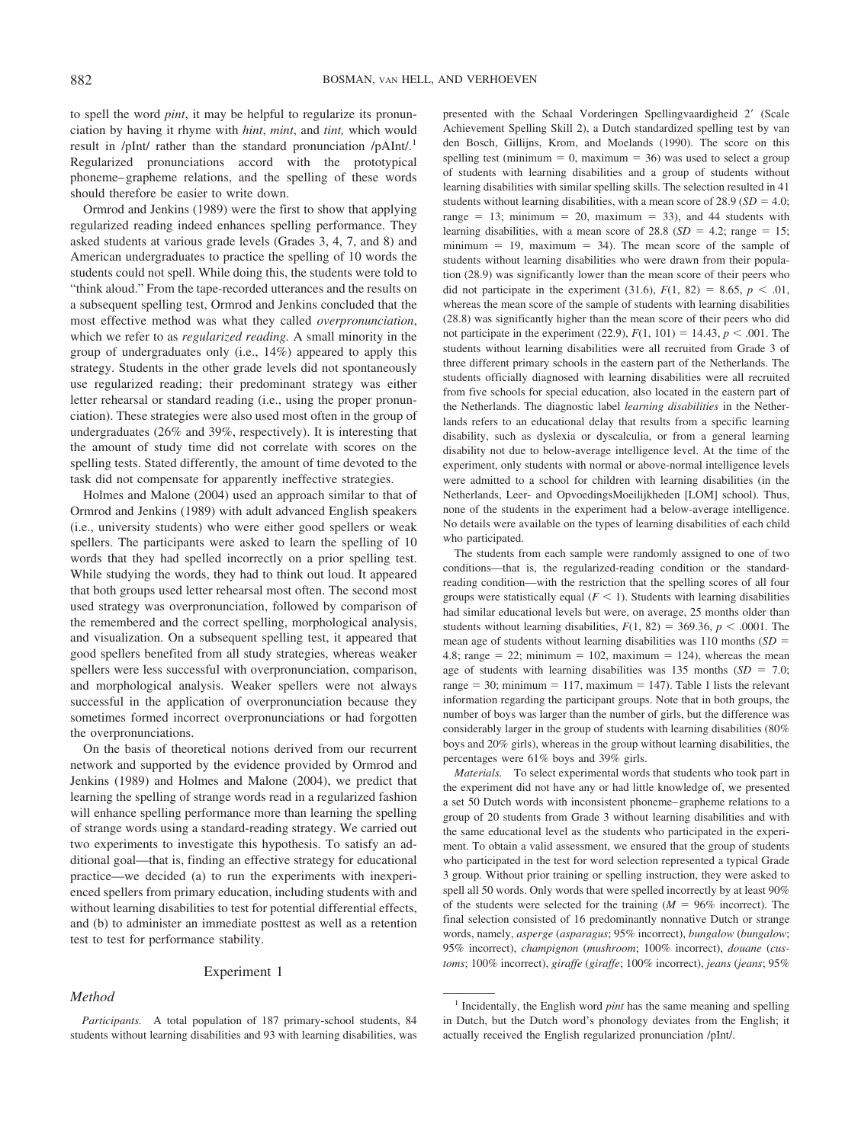to spell the word *pint*, it may be helpful to regularize its pronunciation by having it rhyme with *hint*, *mint*, and *tint,* which would result in /pInt/ rather than the standard pronunciation /pAInt/.<sup>1</sup> Regularized pronunciations accord with the prototypical phoneme–grapheme relations, and the spelling of these words should therefore be easier to write down.

Ormrod and Jenkins (1989) were the first to show that applying regularized reading indeed enhances spelling performance. They asked students at various grade levels (Grades 3, 4, 7, and 8) and American undergraduates to practice the spelling of 10 words the students could not spell. While doing this, the students were told to "think aloud." From the tape-recorded utterances and the results on a subsequent spelling test, Ormrod and Jenkins concluded that the most effective method was what they called *overpronunciation*, which we refer to as *regularized reading.* A small minority in the group of undergraduates only (i.e., 14%) appeared to apply this strategy. Students in the other grade levels did not spontaneously use regularized reading; their predominant strategy was either letter rehearsal or standard reading (i.e., using the proper pronunciation). These strategies were also used most often in the group of undergraduates (26% and 39%, respectively). It is interesting that the amount of study time did not correlate with scores on the spelling tests. Stated differently, the amount of time devoted to the task did not compensate for apparently ineffective strategies.

Holmes and Malone (2004) used an approach similar to that of Ormrod and Jenkins (1989) with adult advanced English speakers (i.e., university students) who were either good spellers or weak spellers. The participants were asked to learn the spelling of 10 words that they had spelled incorrectly on a prior spelling test. While studying the words, they had to think out loud. It appeared that both groups used letter rehearsal most often. The second most used strategy was overpronunciation, followed by comparison of the remembered and the correct spelling, morphological analysis, and visualization. On a subsequent spelling test, it appeared that good spellers benefited from all study strategies, whereas weaker spellers were less successful with overpronunciation, comparison, and morphological analysis. Weaker spellers were not always successful in the application of overpronunciation because they sometimes formed incorrect overpronunciations or had forgotten the overpronunciations.

On the basis of theoretical notions derived from our recurrent network and supported by the evidence provided by Ormrod and Jenkins (1989) and Holmes and Malone (2004), we predict that learning the spelling of strange words read in a regularized fashion will enhance spelling performance more than learning the spelling of strange words using a standard-reading strategy. We carried out two experiments to investigate this hypothesis. To satisfy an additional goal—that is, finding an effective strategy for educational practice—we decided (a) to run the experiments with inexperienced spellers from primary education, including students with and without learning disabilities to test for potential differential effects, and (b) to administer an immediate posttest as well as a retention test to test for performance stability.

## Experiment 1

#### *Method*

presented with the Schaal Vorderingen Spellingvaardigheid 2' (Scale Achievement Spelling Skill 2), a Dutch standardized spelling test by van den Bosch, Gillijns, Krom, and Moelands (1990). The score on this spelling test (minimum  $= 0$ , maximum  $= 36$ ) was used to select a group of students with learning disabilities and a group of students without learning disabilities with similar spelling skills. The selection resulted in 41 students without learning disabilities, with a mean score of  $28.9$  (*SD* = 4.0; range  $= 13$ ; minimum  $= 20$ , maximum  $= 33$ ), and 44 students with learning disabilities, with a mean score of 28.8 ( $SD = 4.2$ ; range = 15; minimum  $= 19$ , maximum  $= 34$ ). The mean score of the sample of students without learning disabilities who were drawn from their population (28.9) was significantly lower than the mean score of their peers who did not participate in the experiment (31.6),  $F(1, 82) = 8.65$ ,  $p < .01$ , whereas the mean score of the sample of students with learning disabilities (28.8) was significantly higher than the mean score of their peers who did not participate in the experiment (22.9),  $F(1, 101) = 14.43$ ,  $p < .001$ . The students without learning disabilities were all recruited from Grade 3 of three different primary schools in the eastern part of the Netherlands. The students officially diagnosed with learning disabilities were all recruited from five schools for special education, also located in the eastern part of the Netherlands. The diagnostic label *learning disabilities* in the Netherlands refers to an educational delay that results from a specific learning disability, such as dyslexia or dyscalculia, or from a general learning disability not due to below-average intelligence level. At the time of the experiment, only students with normal or above-normal intelligence levels were admitted to a school for children with learning disabilities (in the Netherlands, Leer- and OpvoedingsMoeilijkheden [LOM] school). Thus, none of the students in the experiment had a below-average intelligence. No details were available on the types of learning disabilities of each child who participated.

The students from each sample were randomly assigned to one of two conditions—that is, the regularized-reading condition or the standardreading condition—with the restriction that the spelling scores of all four groups were statistically equal  $(F \leq 1)$ . Students with learning disabilities had similar educational levels but were, on average, 25 months older than students without learning disabilities,  $F(1, 82) = 369.36$ ,  $p < .0001$ . The mean age of students without learning disabilities was 110 months (*SD* 4.8; range  $= 22$ ; minimum  $= 102$ , maximum  $= 124$ ), whereas the mean age of students with learning disabilities was  $135$  months  $(SD = 7.0;$ range  $= 30$ ; minimum  $= 117$ , maximum  $= 147$ ). Table 1 lists the relevant information regarding the participant groups. Note that in both groups, the number of boys was larger than the number of girls, but the difference was considerably larger in the group of students with learning disabilities (80% boys and 20% girls), whereas in the group without learning disabilities, the percentages were 61% boys and 39% girls.

*Materials.* To select experimental words that students who took part in the experiment did not have any or had little knowledge of, we presented a set 50 Dutch words with inconsistent phoneme–grapheme relations to a group of 20 students from Grade 3 without learning disabilities and with the same educational level as the students who participated in the experiment. To obtain a valid assessment, we ensured that the group of students who participated in the test for word selection represented a typical Grade 3 group. Without prior training or spelling instruction, they were asked to spell all 50 words. Only words that were spelled incorrectly by at least 90% of the students were selected for the training  $(M = 96\%$  incorrect). The final selection consisted of 16 predominantly nonnative Dutch or strange words, namely, *asperge* (*asparagus*; 95% incorrect), *bungalow* (*bungalow*; 95% incorrect), *champignon* (*mushroom*; 100% incorrect), *douane* (*customs*; 100% incorrect), *giraffe* (*giraffe*; 100% incorrect), *jeans* (*jeans*; 95%

*Participants.* A total population of 187 primary-school students, 84 students without learning disabilities and 93 with learning disabilities, was

<sup>1</sup> Incidentally, the English word *pint* has the same meaning and spelling in Dutch, but the Dutch word's phonology deviates from the English; it actually received the English regularized pronunciation /pInt/.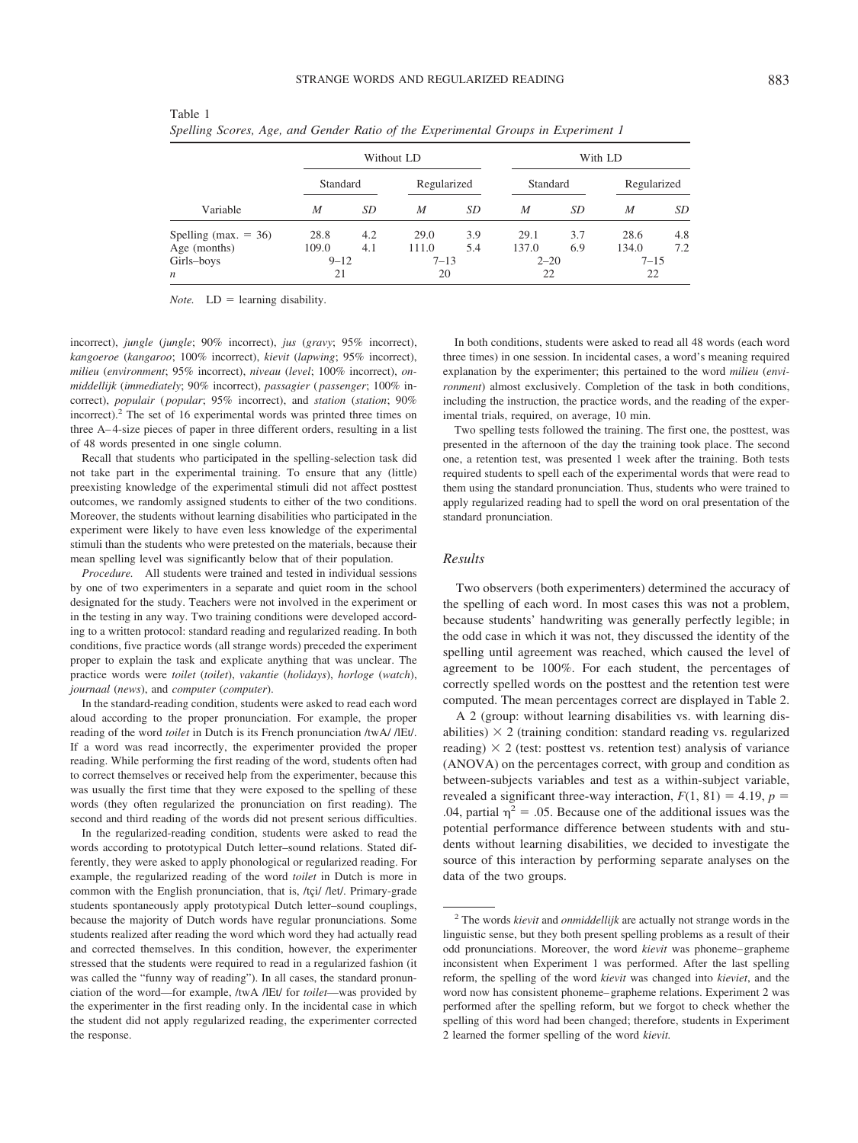| I<br>۰. | ×<br>۰,<br>$\sim$ | ٦<br>I<br>o esta |
|---------|-------------------|------------------|

|                        |       |          | Without LD |             |          |          | With LD  |             |  |
|------------------------|-------|----------|------------|-------------|----------|----------|----------|-------------|--|
|                        |       | Standard |            | Regularized |          | Standard |          | Regularized |  |
| Variable               | M     | SD       | М          | SD          | M        | SD       | M        | <b>SD</b>   |  |
| Spelling (max. $=$ 36) | 28.8  | 4.2      | 29.0       | 3.9         | 29.1     | 3.7      | 28.6     | 4.8         |  |
| Age (months)           | 109.0 | 4.1      | 111.0      | 5.4         | 137.0    | 6.9      | 134.0    | 7.2         |  |
| Girls-boys             |       | $9 - 12$ |            | $7 - 13$    | $2 - 20$ |          | $7 - 15$ |             |  |
| $\boldsymbol{n}$       |       | 21       |            | 20          |          | 22       |          | 22          |  |

Table 1 *Spelling Scores, Age, and Gender Ratio of the Experimental Groups in Experiment 1*

*Note.*  $LD = learning$  disability.

incorrect), *jungle* (*jungle*; 90% incorrect), *jus* (*gravy*; 95% incorrect), *kangoeroe* (*kangaroo*; 100% incorrect), *kievit* (*lapwing*; 95% incorrect), *milieu* (*environment*; 95% incorrect), *niveau* (*level*; 100% incorrect), *onmiddellijk* (*immediately*; 90% incorrect), *passagier* ( *passenger*; 100% incorrect), *populair* ( *popular*; 95% incorrect), and *station* (*station*; 90% incorrect).2 The set of 16 experimental words was printed three times on three A–4-size pieces of paper in three different orders, resulting in a list of 48 words presented in one single column.

Recall that students who participated in the spelling-selection task did not take part in the experimental training. To ensure that any (little) preexisting knowledge of the experimental stimuli did not affect posttest outcomes, we randomly assigned students to either of the two conditions. Moreover, the students without learning disabilities who participated in the experiment were likely to have even less knowledge of the experimental stimuli than the students who were pretested on the materials, because their mean spelling level was significantly below that of their population.

*Procedure.* All students were trained and tested in individual sessions by one of two experimenters in a separate and quiet room in the school designated for the study. Teachers were not involved in the experiment or in the testing in any way. Two training conditions were developed according to a written protocol: standard reading and regularized reading. In both conditions, five practice words (all strange words) preceded the experiment proper to explain the task and explicate anything that was unclear. The practice words were *toilet* (*toilet*), *vakantie* (*holidays*), *horloge* (*watch*), *journaal* (*news*), and *computer* (*computer*).

In the standard-reading condition, students were asked to read each word aloud according to the proper pronunciation. For example, the proper reading of the word *toilet* in Dutch is its French pronunciation /twA/ /lEt/. If a word was read incorrectly, the experimenter provided the proper reading. While performing the first reading of the word, students often had to correct themselves or received help from the experimenter, because this was usually the first time that they were exposed to the spelling of these words (they often regularized the pronunciation on first reading). The second and third reading of the words did not present serious difficulties.

In the regularized-reading condition, students were asked to read the words according to prototypical Dutch letter–sound relations. Stated differently, they were asked to apply phonological or regularized reading. For example, the regularized reading of the word *toilet* in Dutch is more in common with the English pronunciation, that is, /tci/ /let/. Primary-grade students spontaneously apply prototypical Dutch letter–sound couplings, because the majority of Dutch words have regular pronunciations. Some students realized after reading the word which word they had actually read and corrected themselves. In this condition, however, the experimenter stressed that the students were required to read in a regularized fashion (it was called the "funny way of reading"). In all cases, the standard pronunciation of the word—for example, /twA /lEt/ for *toilet*—was provided by the experimenter in the first reading only. In the incidental case in which the student did not apply regularized reading, the experimenter corrected the response.

In both conditions, students were asked to read all 48 words (each word three times) in one session. In incidental cases, a word's meaning required explanation by the experimenter; this pertained to the word *milieu* (*environment*) almost exclusively. Completion of the task in both conditions, including the instruction, the practice words, and the reading of the experimental trials, required, on average, 10 min.

Two spelling tests followed the training. The first one, the posttest, was presented in the afternoon of the day the training took place. The second one, a retention test, was presented 1 week after the training. Both tests required students to spell each of the experimental words that were read to them using the standard pronunciation. Thus, students who were trained to apply regularized reading had to spell the word on oral presentation of the standard pronunciation.

### *Results*

Two observers (both experimenters) determined the accuracy of the spelling of each word. In most cases this was not a problem, because students' handwriting was generally perfectly legible; in the odd case in which it was not, they discussed the identity of the spelling until agreement was reached, which caused the level of agreement to be 100%. For each student, the percentages of correctly spelled words on the posttest and the retention test were computed. The mean percentages correct are displayed in Table 2.

A 2 (group: without learning disabilities vs. with learning disabilities)  $\times$  2 (training condition: standard reading vs. regularized reading)  $\times$  2 (test: posttest vs. retention test) analysis of variance (ANOVA) on the percentages correct, with group and condition as between-subjects variables and test as a within-subject variable, revealed a significant three-way interaction,  $F(1, 81) = 4.19$ ,  $p =$ .04, partial  $\eta^2 = .05$ . Because one of the additional issues was the potential performance difference between students with and students without learning disabilities, we decided to investigate the source of this interaction by performing separate analyses on the data of the two groups.

<sup>2</sup> The words *kievit* and *onmiddellijk* are actually not strange words in the linguistic sense, but they both present spelling problems as a result of their odd pronunciations. Moreover, the word *kievit* was phoneme–grapheme inconsistent when Experiment 1 was performed. After the last spelling reform, the spelling of the word *kievit* was changed into *kieviet*, and the word now has consistent phoneme–grapheme relations. Experiment 2 was performed after the spelling reform, but we forgot to check whether the spelling of this word had been changed; therefore, students in Experiment 2 learned the former spelling of the word *kievit.*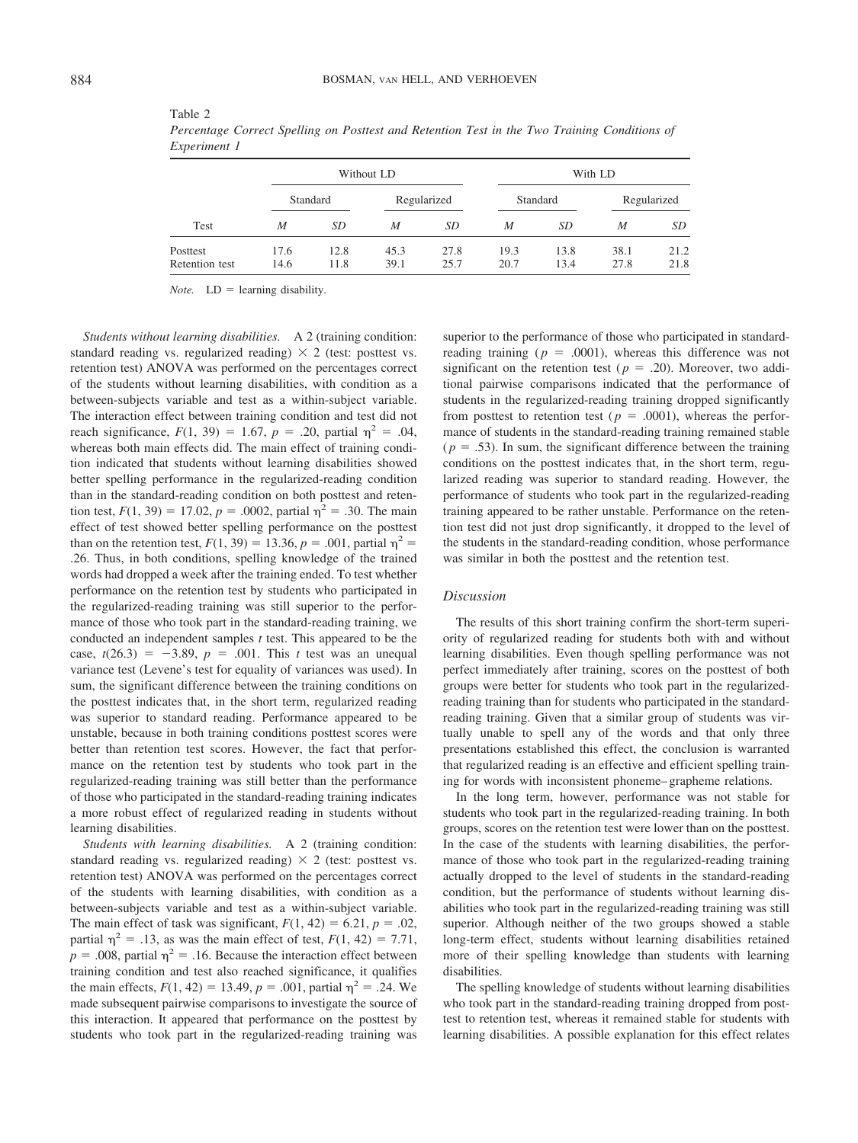| I<br>٧ | ٦<br>v<br>. . |  |
|--------|---------------|--|

|                            |              | Without LD   |              |              |              | With LD      |              |              |  |
|----------------------------|--------------|--------------|--------------|--------------|--------------|--------------|--------------|--------------|--|
|                            |              | Standard     |              | Regularized  |              | Standard     |              | Regularized  |  |
| Test                       | M            | SD           | M            | SD           | M            | SD           | M            | SD           |  |
| Posttest<br>Retention test | 17.6<br>14.6 | 12.8<br>11.8 | 45.3<br>39.1 | 27.8<br>25.7 | 19.3<br>20.7 | 13.8<br>13.4 | 38.1<br>27.8 | 21.2<br>21.8 |  |

Table 2 *Percentage Correct Spelling on Posttest and Retention Test in the Two Training Conditions of Experiment 1*

*Note.*  $LD = learning$  disability.

*Students without learning disabilities.* A 2 (training condition: standard reading vs. regularized reading)  $\times$  2 (test: posttest vs. retention test) ANOVA was performed on the percentages correct of the students without learning disabilities, with condition as a between-subjects variable and test as a within-subject variable. The interaction effect between training condition and test did not reach significance,  $F(1, 39) = 1.67$ ,  $p = .20$ , partial  $\eta^2 = .04$ , whereas both main effects did. The main effect of training condition indicated that students without learning disabilities showed better spelling performance in the regularized-reading condition than in the standard-reading condition on both posttest and retention test,  $F(1, 39) = 17.02$ ,  $p = .0002$ , partial  $\eta^2 = .30$ . The main effect of test showed better spelling performance on the posttest than on the retention test,  $F(1, 39) = 13.36$ ,  $p = .001$ , partial  $\eta^2 =$ .26. Thus, in both conditions, spelling knowledge of the trained words had dropped a week after the training ended. To test whether performance on the retention test by students who participated in the regularized-reading training was still superior to the performance of those who took part in the standard-reading training, we conducted an independent samples *t* test. This appeared to be the case,  $t(26.3) = -3.89$ ,  $p = .001$ . This *t* test was an unequal variance test (Levene's test for equality of variances was used). In sum, the significant difference between the training conditions on the posttest indicates that, in the short term, regularized reading was superior to standard reading. Performance appeared to be unstable, because in both training conditions posttest scores were better than retention test scores. However, the fact that performance on the retention test by students who took part in the regularized-reading training was still better than the performance of those who participated in the standard-reading training indicates a more robust effect of regularized reading in students without learning disabilities.

*Students with learning disabilities.* A 2 (training condition: standard reading vs. regularized reading)  $\times$  2 (test: posttest vs. retention test) ANOVA was performed on the percentages correct of the students with learning disabilities, with condition as a between-subjects variable and test as a within-subject variable. The main effect of task was significant,  $F(1, 42) = 6.21$ ,  $p = .02$ , partial  $\eta^2 = .13$ , as was the main effect of test,  $F(1, 42) = 7.71$ ,  $p = .008$ , partial  $\eta^2 = .16$ . Because the interaction effect between training condition and test also reached significance, it qualifies the main effects,  $F(1, 42) = 13.49$ ,  $p = .001$ , partial  $\eta^2 = .24$ . We made subsequent pairwise comparisons to investigate the source of this interaction. It appeared that performance on the posttest by students who took part in the regularized-reading training was superior to the performance of those who participated in standardreading training  $(p = .0001)$ , whereas this difference was not significant on the retention test ( $p = .20$ ). Moreover, two additional pairwise comparisons indicated that the performance of students in the regularized-reading training dropped significantly from posttest to retention test ( $p = .0001$ ), whereas the performance of students in the standard-reading training remained stable  $(p = .53)$ . In sum, the significant difference between the training conditions on the posttest indicates that, in the short term, regularized reading was superior to standard reading. However, the performance of students who took part in the regularized-reading training appeared to be rather unstable. Performance on the retention test did not just drop significantly, it dropped to the level of the students in the standard-reading condition, whose performance was similar in both the posttest and the retention test.

# *Discussion*

The results of this short training confirm the short-term superiority of regularized reading for students both with and without learning disabilities. Even though spelling performance was not perfect immediately after training, scores on the posttest of both groups were better for students who took part in the regularizedreading training than for students who participated in the standardreading training. Given that a similar group of students was virtually unable to spell any of the words and that only three presentations established this effect, the conclusion is warranted that regularized reading is an effective and efficient spelling training for words with inconsistent phoneme–grapheme relations.

In the long term, however, performance was not stable for students who took part in the regularized-reading training. In both groups, scores on the retention test were lower than on the posttest. In the case of the students with learning disabilities, the performance of those who took part in the regularized-reading training actually dropped to the level of students in the standard-reading condition, but the performance of students without learning disabilities who took part in the regularized-reading training was still superior. Although neither of the two groups showed a stable long-term effect, students without learning disabilities retained more of their spelling knowledge than students with learning disabilities.

The spelling knowledge of students without learning disabilities who took part in the standard-reading training dropped from posttest to retention test, whereas it remained stable for students with learning disabilities. A possible explanation for this effect relates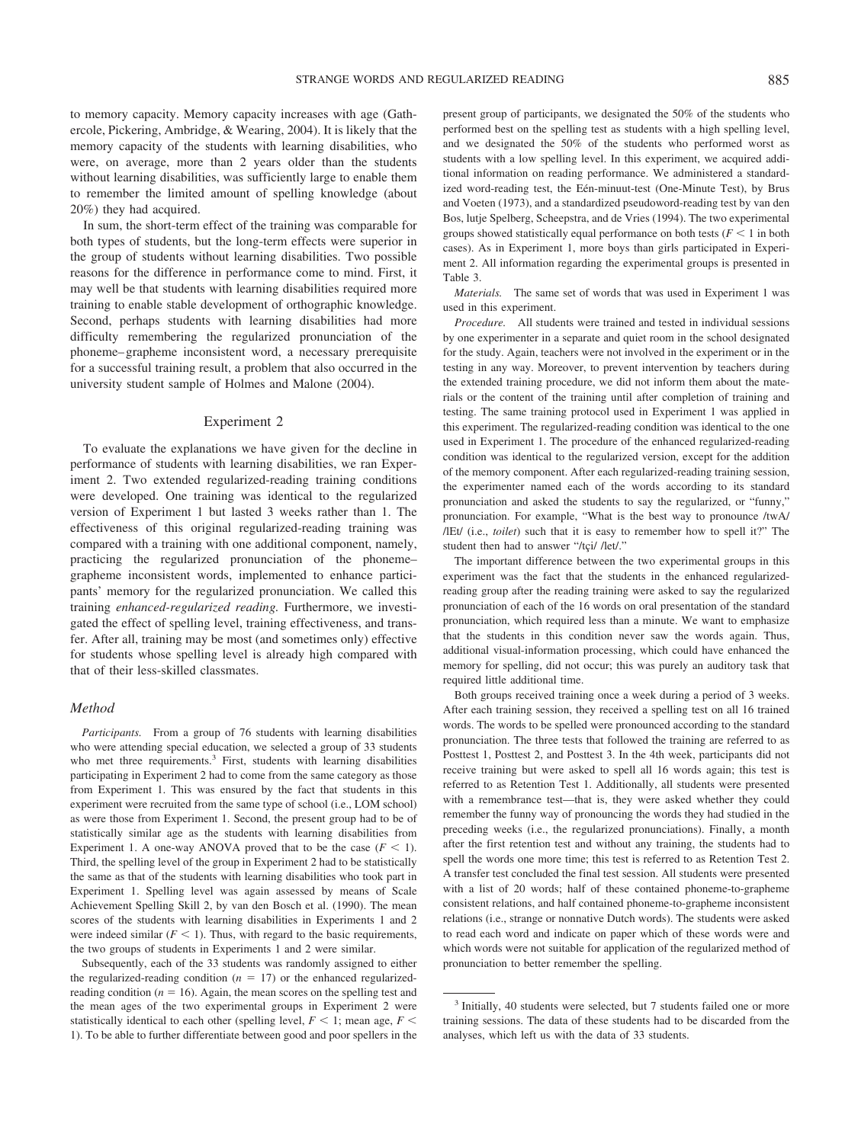STRANGE WORDS AND REGULARIZED READING 885

to memory capacity. Memory capacity increases with age (Gathercole, Pickering, Ambridge, & Wearing, 2004). It is likely that the memory capacity of the students with learning disabilities, who were, on average, more than 2 years older than the students without learning disabilities, was sufficiently large to enable them to remember the limited amount of spelling knowledge (about 20%) they had acquired.

In sum, the short-term effect of the training was comparable for both types of students, but the long-term effects were superior in the group of students without learning disabilities. Two possible reasons for the difference in performance come to mind. First, it may well be that students with learning disabilities required more training to enable stable development of orthographic knowledge. Second, perhaps students with learning disabilities had more difficulty remembering the regularized pronunciation of the phoneme–grapheme inconsistent word, a necessary prerequisite for a successful training result, a problem that also occurred in the university student sample of Holmes and Malone (2004).

## Experiment 2

To evaluate the explanations we have given for the decline in performance of students with learning disabilities, we ran Experiment 2. Two extended regularized-reading training conditions were developed. One training was identical to the regularized version of Experiment 1 but lasted 3 weeks rather than 1. The effectiveness of this original regularized-reading training was compared with a training with one additional component, namely, practicing the regularized pronunciation of the phoneme– grapheme inconsistent words, implemented to enhance participants' memory for the regularized pronunciation. We called this training *enhanced-regularized reading.* Furthermore, we investigated the effect of spelling level, training effectiveness, and transfer. After all, training may be most (and sometimes only) effective for students whose spelling level is already high compared with that of their less-skilled classmates.

## *Method*

*Participants.* From a group of 76 students with learning disabilities who were attending special education, we selected a group of 33 students who met three requirements.<sup>3</sup> First, students with learning disabilities participating in Experiment 2 had to come from the same category as those from Experiment 1. This was ensured by the fact that students in this experiment were recruited from the same type of school (i.e., LOM school) as were those from Experiment 1. Second, the present group had to be of statistically similar age as the students with learning disabilities from Experiment 1. A one-way ANOVA proved that to be the case  $(F < 1)$ . Third, the spelling level of the group in Experiment 2 had to be statistically the same as that of the students with learning disabilities who took part in Experiment 1. Spelling level was again assessed by means of Scale Achievement Spelling Skill 2, by van den Bosch et al. (1990). The mean scores of the students with learning disabilities in Experiments 1 and 2 were indeed similar  $(F < 1)$ . Thus, with regard to the basic requirements, the two groups of students in Experiments 1 and 2 were similar.

Subsequently, each of the 33 students was randomly assigned to either the regularized-reading condition  $(n = 17)$  or the enhanced regularizedreading condition  $(n = 16)$ . Again, the mean scores on the spelling test and the mean ages of the two experimental groups in Experiment 2 were statistically identical to each other (spelling level,  $F \leq 1$ ; mean age,  $F \leq 1$ 1). To be able to further differentiate between good and poor spellers in the

present group of participants, we designated the 50% of the students who performed best on the spelling test as students with a high spelling level, and we designated the 50% of the students who performed worst as students with a low spelling level. In this experiment, we acquired additional information on reading performance. We administered a standardized word-reading test, the Eén-minuut-test (One-Minute Test), by Brus and Voeten (1973), and a standardized pseudoword-reading test by van den Bos, lutje Spelberg, Scheepstra, and de Vries (1994). The two experimental groups showed statistically equal performance on both tests ( $F < 1$  in both cases). As in Experiment 1, more boys than girls participated in Experiment 2. All information regarding the experimental groups is presented in Table 3.

*Materials.* The same set of words that was used in Experiment 1 was used in this experiment.

*Procedure.* All students were trained and tested in individual sessions by one experimenter in a separate and quiet room in the school designated for the study. Again, teachers were not involved in the experiment or in the testing in any way. Moreover, to prevent intervention by teachers during the extended training procedure, we did not inform them about the materials or the content of the training until after completion of training and testing. The same training protocol used in Experiment 1 was applied in this experiment. The regularized-reading condition was identical to the one used in Experiment 1. The procedure of the enhanced regularized-reading condition was identical to the regularized version, except for the addition of the memory component. After each regularized-reading training session, the experimenter named each of the words according to its standard pronunciation and asked the students to say the regularized, or "funny," pronunciation. For example, "What is the best way to pronounce /twA/ /lEt/ (i.e., *toilet*) such that it is easy to remember how to spell it?" The student then had to answer "/tçi/ /let/."

The important difference between the two experimental groups in this experiment was the fact that the students in the enhanced regularizedreading group after the reading training were asked to say the regularized pronunciation of each of the 16 words on oral presentation of the standard pronunciation, which required less than a minute. We want to emphasize that the students in this condition never saw the words again. Thus, additional visual-information processing, which could have enhanced the memory for spelling, did not occur; this was purely an auditory task that required little additional time.

Both groups received training once a week during a period of 3 weeks. After each training session, they received a spelling test on all 16 trained words. The words to be spelled were pronounced according to the standard pronunciation. The three tests that followed the training are referred to as Posttest 1, Posttest 2, and Posttest 3. In the 4th week, participants did not receive training but were asked to spell all 16 words again; this test is referred to as Retention Test 1. Additionally, all students were presented with a remembrance test—that is, they were asked whether they could remember the funny way of pronouncing the words they had studied in the preceding weeks (i.e., the regularized pronunciations). Finally, a month after the first retention test and without any training, the students had to spell the words one more time; this test is referred to as Retention Test 2. A transfer test concluded the final test session. All students were presented with a list of 20 words; half of these contained phoneme-to-grapheme consistent relations, and half contained phoneme-to-grapheme inconsistent relations (i.e., strange or nonnative Dutch words). The students were asked to read each word and indicate on paper which of these words were and which words were not suitable for application of the regularized method of pronunciation to better remember the spelling.

<sup>&</sup>lt;sup>3</sup> Initially, 40 students were selected, but 7 students failed one or more training sessions. The data of these students had to be discarded from the analyses, which left us with the data of 33 students.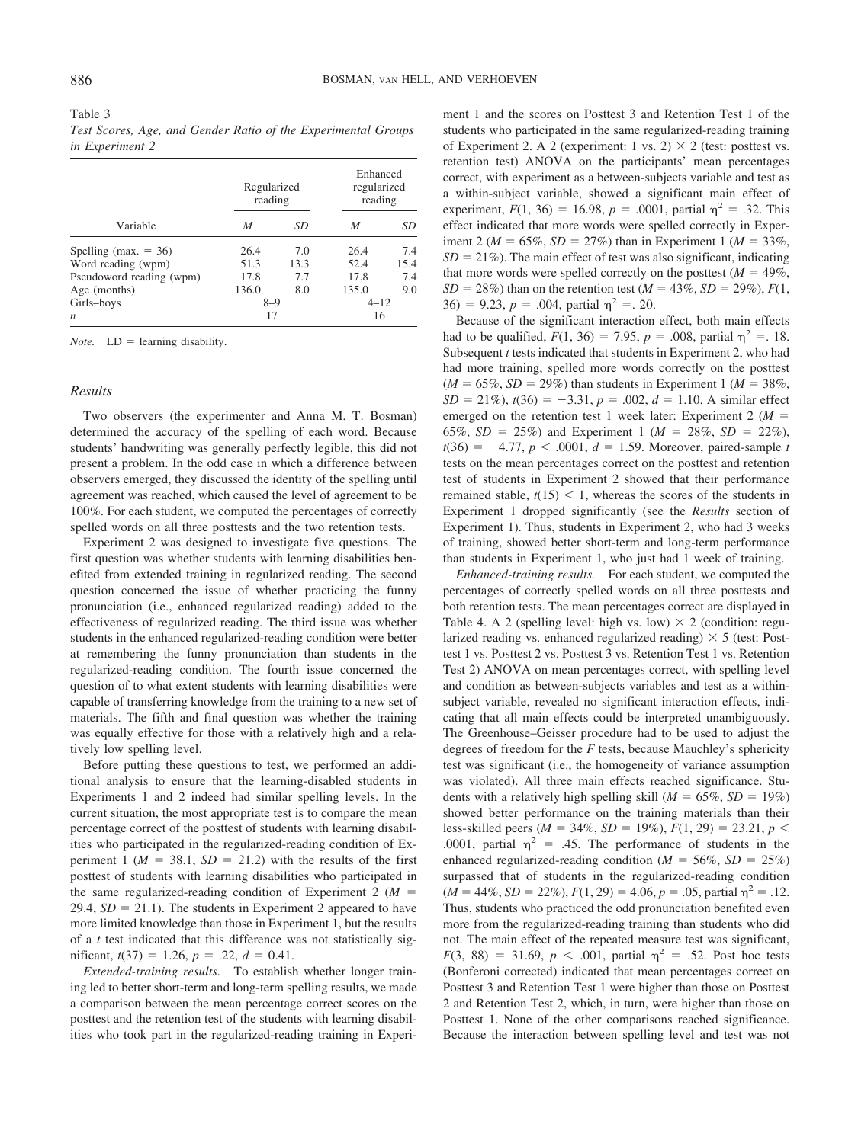| Table 3                                                       |  |  |  |
|---------------------------------------------------------------|--|--|--|
| Test Scores, Age, and Gender Ratio of the Experimental Groups |  |  |  |
| in Experiment 2                                               |  |  |  |

|                          | Regularized<br>reading |      | Enhanced<br>regularized<br>reading |          |  |  |
|--------------------------|------------------------|------|------------------------------------|----------|--|--|
| Variable                 | M                      | SD   | M                                  | SD       |  |  |
| Spelling (max. $=$ 36)   | 26.4                   | 7.0  | 26.4                               | 7.4      |  |  |
| Word reading (wpm)       | 51.3                   | 13.3 | 52.4                               | 15.4     |  |  |
| Pseudoword reading (wpm) | 17.8                   | 7.7  | 17.8                               | 7.4      |  |  |
| Age (months)             | 136.0                  | 8.0  | 135.0                              | 9.0      |  |  |
| Girls-boys               | $8-9$                  |      |                                    | $4 - 12$ |  |  |
| $\boldsymbol{n}$         | 17                     |      | 16                                 |          |  |  |

*Note.*  $LD = learning$  disability.

#### *Results*

Two observers (the experimenter and Anna M. T. Bosman) determined the accuracy of the spelling of each word. Because students' handwriting was generally perfectly legible, this did not present a problem. In the odd case in which a difference between observers emerged, they discussed the identity of the spelling until agreement was reached, which caused the level of agreement to be 100%. For each student, we computed the percentages of correctly spelled words on all three posttests and the two retention tests.

Experiment 2 was designed to investigate five questions. The first question was whether students with learning disabilities benefited from extended training in regularized reading. The second question concerned the issue of whether practicing the funny pronunciation (i.e., enhanced regularized reading) added to the effectiveness of regularized reading. The third issue was whether students in the enhanced regularized-reading condition were better at remembering the funny pronunciation than students in the regularized-reading condition. The fourth issue concerned the question of to what extent students with learning disabilities were capable of transferring knowledge from the training to a new set of materials. The fifth and final question was whether the training was equally effective for those with a relatively high and a relatively low spelling level.

Before putting these questions to test, we performed an additional analysis to ensure that the learning-disabled students in Experiments 1 and 2 indeed had similar spelling levels. In the current situation, the most appropriate test is to compare the mean percentage correct of the posttest of students with learning disabilities who participated in the regularized-reading condition of Experiment 1 ( $M = 38.1$ ,  $SD = 21.2$ ) with the results of the first posttest of students with learning disabilities who participated in the same regularized-reading condition of Experiment 2 (*M* 29.4,  $SD = 21.1$ ). The students in Experiment 2 appeared to have more limited knowledge than those in Experiment 1, but the results of a *t* test indicated that this difference was not statistically significant,  $t(37) = 1.26$ ,  $p = .22$ ,  $d = 0.41$ .

*Extended-training results.* To establish whether longer training led to better short-term and long-term spelling results, we made a comparison between the mean percentage correct scores on the posttest and the retention test of the students with learning disabilities who took part in the regularized-reading training in Experiment 1 and the scores on Posttest 3 and Retention Test 1 of the students who participated in the same regularized-reading training of Experiment 2. A 2 (experiment: 1 vs. 2)  $\times$  2 (test: posttest vs. retention test) ANOVA on the participants' mean percentages correct, with experiment as a between-subjects variable and test as a within-subject variable, showed a significant main effect of experiment,  $F(1, 36) = 16.98$ ,  $p = .0001$ , partial  $\eta^2 = .32$ . This effect indicated that more words were spelled correctly in Experiment 2 ( $M = 65\%$ ,  $SD = 27\%$ ) than in Experiment 1 ( $M = 33\%$ ,  $SD = 21\%$ ). The main effect of test was also significant, indicating that more words were spelled correctly on the posttest  $(M = 49\%,$ *SD* = 28%) than on the retention test ( $M = 43\%$ , *SD* = 29%),  $F(1, 1)$  $36) = 9.23, p = .004$ , partial  $\eta^2 = .20$ .

Because of the significant interaction effect, both main effects had to be qualified,  $F(1, 36) = 7.95$ ,  $p = .008$ , partial  $\eta^2 = .18$ . Subsequent *t* tests indicated that students in Experiment 2, who had had more training, spelled more words correctly on the posttest  $(M = 65\%, SD = 29\%)$  than students in Experiment 1 ( $M = 38\%$ ,  $SD = 21\%$ ,  $t(36) = -3.31$ ,  $p = .002$ ,  $d = 1.10$ . A similar effect emerged on the retention test 1 week later: Experiment 2 (*M* 65%,  $SD = 25\%$ ) and Experiment 1 ( $M = 28\%$ ,  $SD = 22\%$ ),  $t(36) = -4.77$ ,  $p < .0001$ ,  $d = 1.59$ . Moreover, paired-sample *t* tests on the mean percentages correct on the posttest and retention test of students in Experiment 2 showed that their performance remained stable,  $t(15) < 1$ , whereas the scores of the students in Experiment 1 dropped significantly (see the *Results* section of Experiment 1). Thus, students in Experiment 2, who had 3 weeks of training, showed better short-term and long-term performance than students in Experiment 1, who just had 1 week of training.

*Enhanced-training results.* For each student, we computed the percentages of correctly spelled words on all three posttests and both retention tests. The mean percentages correct are displayed in Table 4. A 2 (spelling level: high vs. low)  $\times$  2 (condition: regularized reading vs. enhanced regularized reading)  $\times$  5 (test: Posttest 1 vs. Posttest 2 vs. Posttest 3 vs. Retention Test 1 vs. Retention Test 2) ANOVA on mean percentages correct, with spelling level and condition as between-subjects variables and test as a withinsubject variable, revealed no significant interaction effects, indicating that all main effects could be interpreted unambiguously. The Greenhouse–Geisser procedure had to be used to adjust the degrees of freedom for the *F* tests, because Mauchley's sphericity test was significant (i.e., the homogeneity of variance assumption was violated). All three main effects reached significance. Students with a relatively high spelling skill  $(M = 65\%, SD = 19\%)$ showed better performance on the training materials than their less-skilled peers ( $M = 34\%$ ,  $SD = 19\%$ ),  $F(1, 29) = 23.21$ ,  $p <$ .0001, partial  $\eta^2$  = .45. The performance of students in the enhanced regularized-reading condition ( $M = 56\%$ ,  $SD = 25\%$ ) surpassed that of students in the regularized-reading condition  $(M = 44\%, SD = 22\%), F(1, 29) = 4.06, p = .05$ , partial  $\eta^2 = .12$ . Thus, students who practiced the odd pronunciation benefited even more from the regularized-reading training than students who did not. The main effect of the repeated measure test was significant,  $F(3, 88) = 31.69, p < .001$ , partial  $\eta^2 = .52$ . Post hoc tests (Bonferoni corrected) indicated that mean percentages correct on Posttest 3 and Retention Test 1 were higher than those on Posttest 2 and Retention Test 2, which, in turn, were higher than those on Posttest 1. None of the other comparisons reached significance. Because the interaction between spelling level and test was not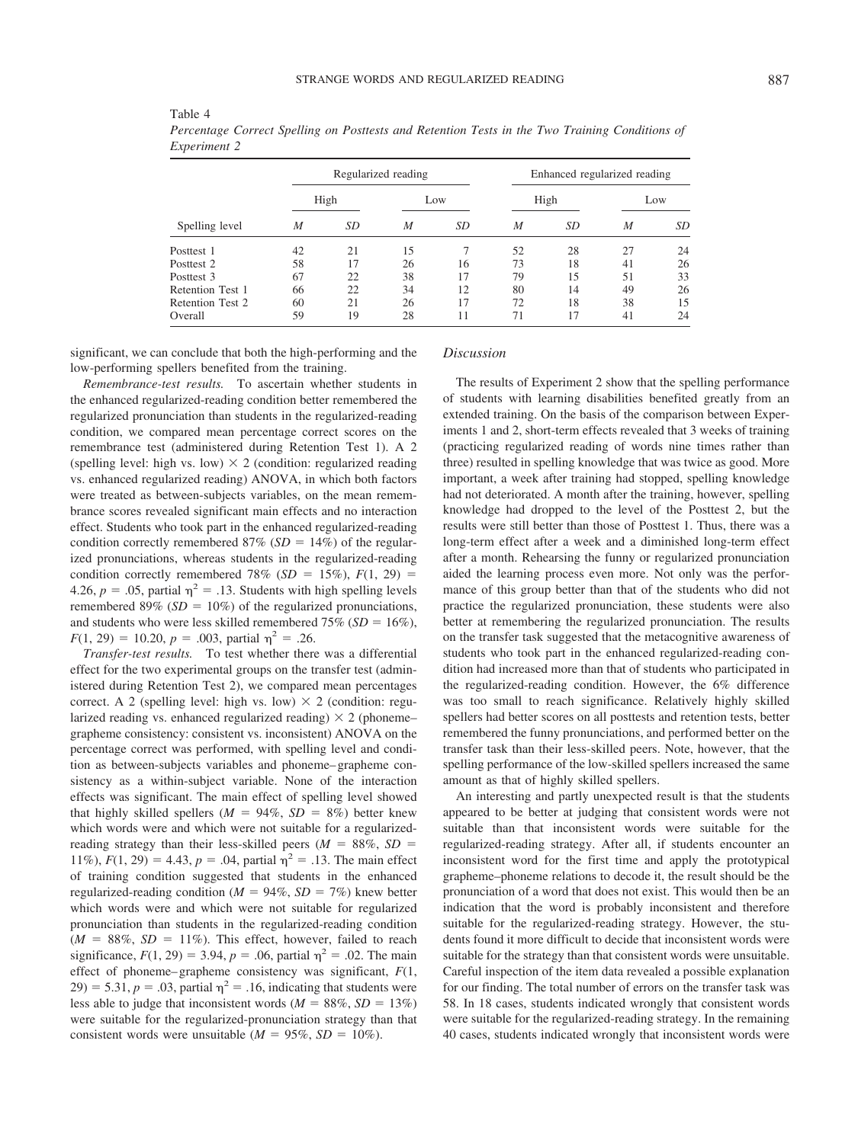|                         |    |             | Regularized reading |    | Enhanced regularized reading |      |     |           |
|-------------------------|----|-------------|---------------------|----|------------------------------|------|-----|-----------|
| Spelling level          |    | High<br>Low |                     |    |                              | High | Low |           |
|                         | M  | SD          | M                   | SD | M                            | SD   | M   | <b>SD</b> |
| Posttest 1              | 42 | 21          | 15                  | 7  | 52                           | 28   | 27  | 24        |
| Posttest 2              | 58 | 17          | 26                  | 16 | 73                           | 18   | 41  | 26        |
| Posttest 3              | 67 | 22          | 38                  | 17 | 79                           | 15   | 51  | 33        |
| <b>Retention Test 1</b> | 66 | 22          | 34                  | 12 | 80                           | 14   | 49  | 26        |
| <b>Retention Test 2</b> | 60 | 21          | 26                  | 17 | 72                           | 18   | 38  | 15        |
| Overall                 | 59 | 19          | 28                  | 11 | 71                           | 17   | 41  | 24        |

Table 4 *Percentage Correct Spelling on Posttests and Retention Tests in the Two Training Conditions of Experiment 2*

significant, we can conclude that both the high-performing and the low-performing spellers benefited from the training.

*Remembrance-test results.* To ascertain whether students in the enhanced regularized-reading condition better remembered the regularized pronunciation than students in the regularized-reading condition, we compared mean percentage correct scores on the remembrance test (administered during Retention Test 1). A 2 (spelling level: high vs. low)  $\times$  2 (condition: regularized reading vs. enhanced regularized reading) ANOVA, in which both factors were treated as between-subjects variables, on the mean remembrance scores revealed significant main effects and no interaction effect. Students who took part in the enhanced regularized-reading condition correctly remembered  $87\%$  (*SD* = 14%) of the regularized pronunciations, whereas students in the regularized-reading condition correctly remembered 78% ( $SD = 15\%$ ),  $F(1, 29) =$ 4.26,  $p = .05$ , partial  $\eta^2 = .13$ . Students with high spelling levels remembered 89% ( $SD = 10\%$ ) of the regularized pronunciations, and students who were less skilled remembered  $75\%$  (*SD* =  $16\%$ ),  $F(1, 29) = 10.20, p = .003$ , partial  $\eta^2 = .26$ .

*Transfer-test results.* To test whether there was a differential effect for the two experimental groups on the transfer test (administered during Retention Test 2), we compared mean percentages correct. A 2 (spelling level: high vs. low)  $\times$  2 (condition: regularized reading vs. enhanced regularized reading)  $\times$  2 (phoneme– grapheme consistency: consistent vs. inconsistent) ANOVA on the percentage correct was performed, with spelling level and condition as between-subjects variables and phoneme–grapheme consistency as a within-subject variable. None of the interaction effects was significant. The main effect of spelling level showed that highly skilled spellers ( $M = 94\%$ ,  $SD = 8\%$ ) better knew which words were and which were not suitable for a regularizedreading strategy than their less-skilled peers ( $M = 88\%$ ,  $SD =$ 11%),  $F(1, 29) = 4.43$ ,  $p = .04$ , partial  $p^2 = .13$ . The main effect of training condition suggested that students in the enhanced regularized-reading condition ( $M = 94\%$ ,  $SD = 7\%$ ) knew better which words were and which were not suitable for regularized pronunciation than students in the regularized-reading condition  $(M = 88\%, SD = 11\%)$ . This effect, however, failed to reach significance,  $F(1, 29) = 3.94$ ,  $p = .06$ , partial  $\eta^2 = .02$ . The main effect of phoneme–grapheme consistency was significant, *F*(1,  $29$ ) = 5.31,  $p = .03$ , partial  $\eta^2 = .16$ , indicating that students were less able to judge that inconsistent words ( $M = 88\%$ ,  $SD = 13\%$ ) were suitable for the regularized-pronunciation strategy than that consistent words were unsuitable ( $M = 95\%$ ,  $SD = 10\%$ ).

## *Discussion*

The results of Experiment 2 show that the spelling performance of students with learning disabilities benefited greatly from an extended training. On the basis of the comparison between Experiments 1 and 2, short-term effects revealed that 3 weeks of training (practicing regularized reading of words nine times rather than three) resulted in spelling knowledge that was twice as good. More important, a week after training had stopped, spelling knowledge had not deteriorated. A month after the training, however, spelling knowledge had dropped to the level of the Posttest 2, but the results were still better than those of Posttest 1. Thus, there was a long-term effect after a week and a diminished long-term effect after a month. Rehearsing the funny or regularized pronunciation aided the learning process even more. Not only was the performance of this group better than that of the students who did not practice the regularized pronunciation, these students were also better at remembering the regularized pronunciation. The results on the transfer task suggested that the metacognitive awareness of students who took part in the enhanced regularized-reading condition had increased more than that of students who participated in the regularized-reading condition. However, the 6% difference was too small to reach significance. Relatively highly skilled spellers had better scores on all posttests and retention tests, better remembered the funny pronunciations, and performed better on the transfer task than their less-skilled peers. Note, however, that the spelling performance of the low-skilled spellers increased the same amount as that of highly skilled spellers.

An interesting and partly unexpected result is that the students appeared to be better at judging that consistent words were not suitable than that inconsistent words were suitable for the regularized-reading strategy. After all, if students encounter an inconsistent word for the first time and apply the prototypical grapheme–phoneme relations to decode it, the result should be the pronunciation of a word that does not exist. This would then be an indication that the word is probably inconsistent and therefore suitable for the regularized-reading strategy. However, the students found it more difficult to decide that inconsistent words were suitable for the strategy than that consistent words were unsuitable. Careful inspection of the item data revealed a possible explanation for our finding. The total number of errors on the transfer task was 58. In 18 cases, students indicated wrongly that consistent words were suitable for the regularized-reading strategy. In the remaining 40 cases, students indicated wrongly that inconsistent words were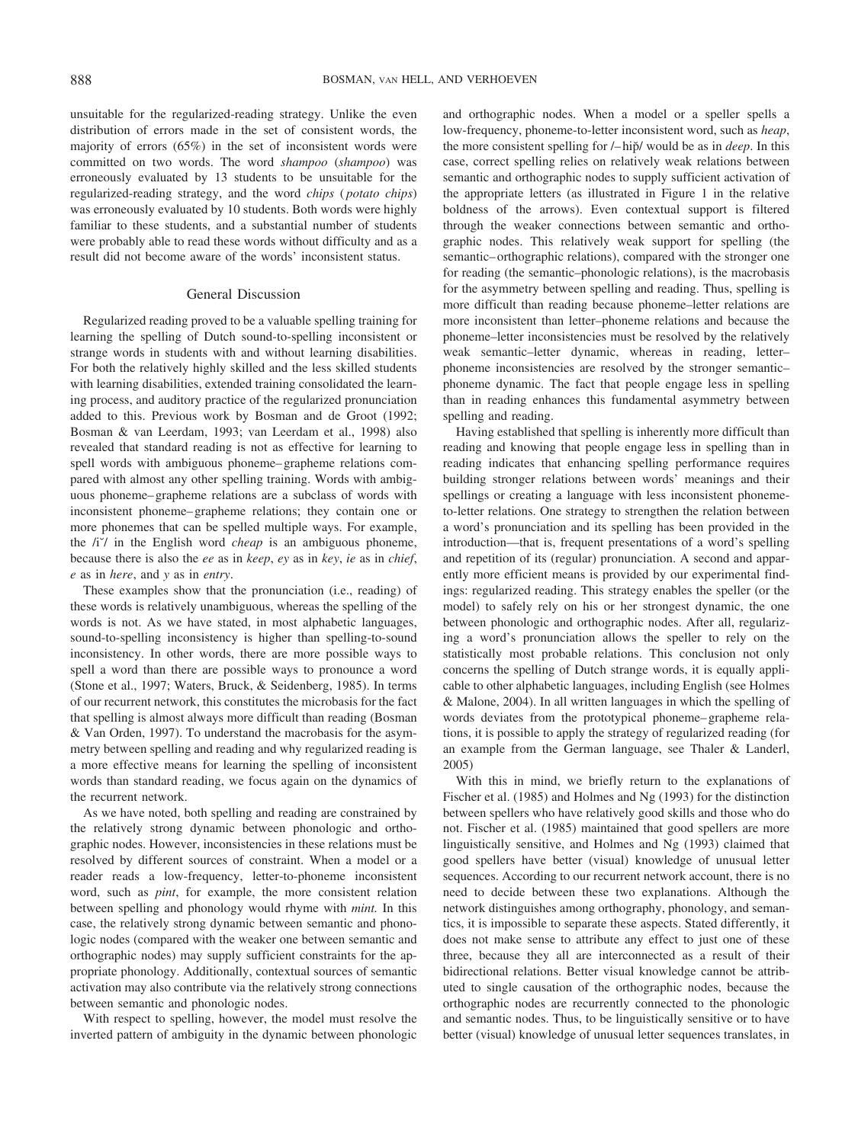unsuitable for the regularized-reading strategy. Unlike the even distribution of errors made in the set of consistent words, the majority of errors (65%) in the set of inconsistent words were committed on two words. The word *shampoo* (*shampoo*) was erroneously evaluated by 13 students to be unsuitable for the regularized-reading strategy, and the word *chips* ( *potato chips*) was erroneously evaluated by 10 students. Both words were highly familiar to these students, and a substantial number of students were probably able to read these words without difficulty and as a result did not become aware of the words' inconsistent status.

# General Discussion

Regularized reading proved to be a valuable spelling training for learning the spelling of Dutch sound-to-spelling inconsistent or strange words in students with and without learning disabilities. For both the relatively highly skilled and the less skilled students with learning disabilities, extended training consolidated the learning process, and auditory practice of the regularized pronunciation added to this. Previous work by Bosman and de Groot (1992; Bosman & van Leerdam, 1993; van Leerdam et al., 1998) also revealed that standard reading is not as effective for learning to spell words with ambiguous phoneme–grapheme relations compared with almost any other spelling training. Words with ambiguous phoneme–grapheme relations are a subclass of words with inconsistent phoneme–grapheme relations; they contain one or more phonemes that can be spelled multiple ways. For example, the /i˘/ in the English word *cheap* is an ambiguous phoneme, because there is also the *ee* as in *keep*, *ey* as in *key*, *ie* as in *chief*, *e* as in *here*, and *y* as in *entry*.

These examples show that the pronunciation (i.e., reading) of these words is relatively unambiguous, whereas the spelling of the words is not. As we have stated, in most alphabetic languages, sound-to-spelling inconsistency is higher than spelling-to-sound inconsistency. In other words, there are more possible ways to spell a word than there are possible ways to pronounce a word (Stone et al., 1997; Waters, Bruck, & Seidenberg, 1985). In terms of our recurrent network, this constitutes the microbasis for the fact that spelling is almost always more difficult than reading (Bosman & Van Orden, 1997). To understand the macrobasis for the asymmetry between spelling and reading and why regularized reading is a more effective means for learning the spelling of inconsistent words than standard reading, we focus again on the dynamics of the recurrent network.

As we have noted, both spelling and reading are constrained by the relatively strong dynamic between phonologic and orthographic nodes. However, inconsistencies in these relations must be resolved by different sources of constraint. When a model or a reader reads a low-frequency, letter-to-phoneme inconsistent word, such as *pint*, for example, the more consistent relation between spelling and phonology would rhyme with *mint.* In this case, the relatively strong dynamic between semantic and phonologic nodes (compared with the weaker one between semantic and orthographic nodes) may supply sufficient constraints for the appropriate phonology. Additionally, contextual sources of semantic activation may also contribute via the relatively strong connections between semantic and phonologic nodes.

With respect to spelling, however, the model must resolve the inverted pattern of ambiguity in the dynamic between phonologic and orthographic nodes. When a model or a speller spells a low-frequency, phoneme-to-letter inconsistent word, such as *heap*, the more consistent spelling for  $/-\hbox{hi}\tilde{p}/\hbox{ would be as in }deep$ . In this case, correct spelling relies on relatively weak relations between semantic and orthographic nodes to supply sufficient activation of the appropriate letters (as illustrated in Figure 1 in the relative boldness of the arrows). Even contextual support is filtered through the weaker connections between semantic and orthographic nodes. This relatively weak support for spelling (the semantic–orthographic relations), compared with the stronger one for reading (the semantic–phonologic relations), is the macrobasis for the asymmetry between spelling and reading. Thus, spelling is more difficult than reading because phoneme–letter relations are more inconsistent than letter–phoneme relations and because the phoneme–letter inconsistencies must be resolved by the relatively weak semantic–letter dynamic, whereas in reading, letter– phoneme inconsistencies are resolved by the stronger semantic– phoneme dynamic. The fact that people engage less in spelling than in reading enhances this fundamental asymmetry between spelling and reading.

Having established that spelling is inherently more difficult than reading and knowing that people engage less in spelling than in reading indicates that enhancing spelling performance requires building stronger relations between words' meanings and their spellings or creating a language with less inconsistent phonemeto-letter relations. One strategy to strengthen the relation between a word's pronunciation and its spelling has been provided in the introduction—that is, frequent presentations of a word's spelling and repetition of its (regular) pronunciation. A second and apparently more efficient means is provided by our experimental findings: regularized reading. This strategy enables the speller (or the model) to safely rely on his or her strongest dynamic, the one between phonologic and orthographic nodes. After all, regularizing a word's pronunciation allows the speller to rely on the statistically most probable relations. This conclusion not only concerns the spelling of Dutch strange words, it is equally applicable to other alphabetic languages, including English (see Holmes & Malone, 2004). In all written languages in which the spelling of words deviates from the prototypical phoneme–grapheme relations, it is possible to apply the strategy of regularized reading (for an example from the German language, see Thaler & Landerl, 2005)

With this in mind, we briefly return to the explanations of Fischer et al. (1985) and Holmes and Ng (1993) for the distinction between spellers who have relatively good skills and those who do not. Fischer et al. (1985) maintained that good spellers are more linguistically sensitive, and Holmes and Ng (1993) claimed that good spellers have better (visual) knowledge of unusual letter sequences. According to our recurrent network account, there is no need to decide between these two explanations. Although the network distinguishes among orthography, phonology, and semantics, it is impossible to separate these aspects. Stated differently, it does not make sense to attribute any effect to just one of these three, because they all are interconnected as a result of their bidirectional relations. Better visual knowledge cannot be attributed to single causation of the orthographic nodes, because the orthographic nodes are recurrently connected to the phonologic and semantic nodes. Thus, to be linguistically sensitive or to have better (visual) knowledge of unusual letter sequences translates, in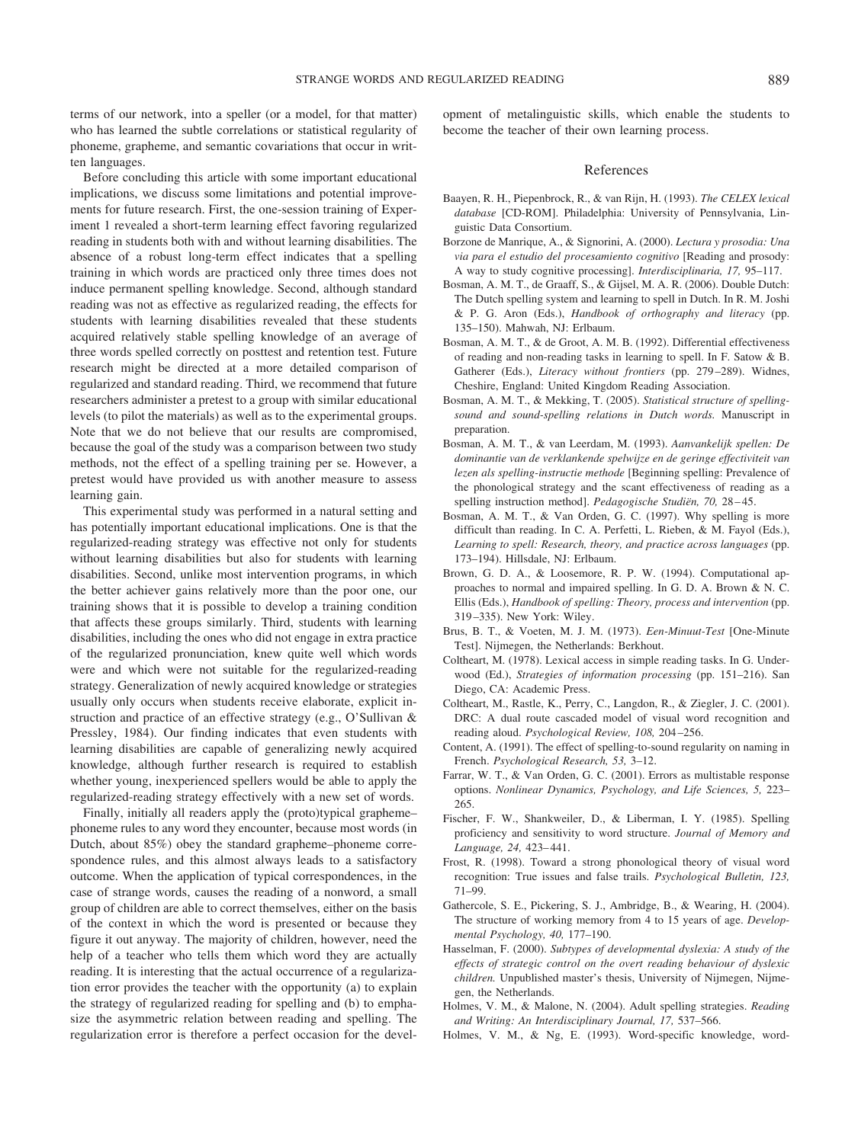terms of our network, into a speller (or a model, for that matter) who has learned the subtle correlations or statistical regularity of phoneme, grapheme, and semantic covariations that occur in written languages.

Before concluding this article with some important educational implications, we discuss some limitations and potential improvements for future research. First, the one-session training of Experiment 1 revealed a short-term learning effect favoring regularized reading in students both with and without learning disabilities. The absence of a robust long-term effect indicates that a spelling training in which words are practiced only three times does not induce permanent spelling knowledge. Second, although standard reading was not as effective as regularized reading, the effects for students with learning disabilities revealed that these students acquired relatively stable spelling knowledge of an average of three words spelled correctly on posttest and retention test. Future research might be directed at a more detailed comparison of regularized and standard reading. Third, we recommend that future researchers administer a pretest to a group with similar educational levels (to pilot the materials) as well as to the experimental groups. Note that we do not believe that our results are compromised, because the goal of the study was a comparison between two study methods, not the effect of a spelling training per se. However, a pretest would have provided us with another measure to assess learning gain.

This experimental study was performed in a natural setting and has potentially important educational implications. One is that the regularized-reading strategy was effective not only for students without learning disabilities but also for students with learning disabilities. Second, unlike most intervention programs, in which the better achiever gains relatively more than the poor one, our training shows that it is possible to develop a training condition that affects these groups similarly. Third, students with learning disabilities, including the ones who did not engage in extra practice of the regularized pronunciation, knew quite well which words were and which were not suitable for the regularized-reading strategy. Generalization of newly acquired knowledge or strategies usually only occurs when students receive elaborate, explicit instruction and practice of an effective strategy (e.g., O'Sullivan & Pressley, 1984). Our finding indicates that even students with learning disabilities are capable of generalizing newly acquired knowledge, although further research is required to establish whether young, inexperienced spellers would be able to apply the regularized-reading strategy effectively with a new set of words.

Finally, initially all readers apply the (proto)typical grapheme– phoneme rules to any word they encounter, because most words (in Dutch, about 85%) obey the standard grapheme–phoneme correspondence rules, and this almost always leads to a satisfactory outcome. When the application of typical correspondences, in the case of strange words, causes the reading of a nonword, a small group of children are able to correct themselves, either on the basis of the context in which the word is presented or because they figure it out anyway. The majority of children, however, need the help of a teacher who tells them which word they are actually reading. It is interesting that the actual occurrence of a regularization error provides the teacher with the opportunity (a) to explain the strategy of regularized reading for spelling and (b) to emphasize the asymmetric relation between reading and spelling. The regularization error is therefore a perfect occasion for the development of metalinguistic skills, which enable the students to become the teacher of their own learning process.

#### References

- Baayen, R. H., Piepenbrock, R., & van Rijn, H. (1993). *The CELEX lexical database* [CD-ROM]. Philadelphia: University of Pennsylvania, Linguistic Data Consortium.
- Borzone de Manrique, A., & Signorini, A. (2000). *Lectura y prosodia: Una via para el estudio del procesamiento cognitivo* [Reading and prosody: A way to study cognitive processing]. *Interdisciplinaria, 17,* 95–117.
- Bosman, A. M. T., de Graaff, S., & Gijsel, M. A. R. (2006). Double Dutch: The Dutch spelling system and learning to spell in Dutch. In R. M. Joshi & P. G. Aron (Eds.), *Handbook of orthography and literacy* (pp. 135–150). Mahwah, NJ: Erlbaum.
- Bosman, A. M. T., & de Groot, A. M. B. (1992). Differential effectiveness of reading and non-reading tasks in learning to spell. In F. Satow & B. Gatherer (Eds.), *Literacy without frontiers* (pp. 279–289). Widnes, Cheshire, England: United Kingdom Reading Association.
- Bosman, A. M. T., & Mekking, T. (2005). *Statistical structure of spellingsound and sound-spelling relations in Dutch words.* Manuscript in preparation.
- Bosman, A. M. T., & van Leerdam, M. (1993). *Aanvankelijk spellen: De dominantie van de verklankende spelwijze en de geringe effectiviteit van lezen als spelling-instructie methode* [Beginning spelling: Prevalence of the phonological strategy and the scant effectiveness of reading as a spelling instruction method]. *Pedagogische Studiën*, 70, 28-45.
- Bosman, A. M. T., & Van Orden, G. C. (1997). Why spelling is more difficult than reading. In C. A. Perfetti, L. Rieben, & M. Fayol (Eds.), *Learning to spell: Research, theory, and practice across languages* (pp. 173–194). Hillsdale, NJ: Erlbaum.
- Brown, G. D. A., & Loosemore, R. P. W. (1994). Computational approaches to normal and impaired spelling. In G. D. A. Brown & N. C. Ellis (Eds.), *Handbook of spelling: Theory, process and intervention* (pp. 319–335). New York: Wiley.
- Brus, B. T., & Voeten, M. J. M. (1973). *Een-Minuut-Test* [One-Minute Test]. Nijmegen, the Netherlands: Berkhout.
- Coltheart, M. (1978). Lexical access in simple reading tasks. In G. Underwood (Ed.), *Strategies of information processing* (pp. 151–216). San Diego, CA: Academic Press.
- Coltheart, M., Rastle, K., Perry, C., Langdon, R., & Ziegler, J. C. (2001). DRC: A dual route cascaded model of visual word recognition and reading aloud. *Psychological Review, 108,* 204–256.
- Content, A. (1991). The effect of spelling-to-sound regularity on naming in French. *Psychological Research, 53,* 3–12.
- Farrar, W. T., & Van Orden, G. C. (2001). Errors as multistable response options. *Nonlinear Dynamics, Psychology, and Life Sciences, 5,* 223– 265.
- Fischer, F. W., Shankweiler, D., & Liberman, I. Y. (1985). Spelling proficiency and sensitivity to word structure. *Journal of Memory and Language, 24,* 423–441.
- Frost, R. (1998). Toward a strong phonological theory of visual word recognition: True issues and false trails. *Psychological Bulletin, 123,* 71–99.
- Gathercole, S. E., Pickering, S. J., Ambridge, B., & Wearing, H. (2004). The structure of working memory from 4 to 15 years of age. *Developmental Psychology, 40,* 177–190.
- Hasselman, F. (2000). *Subtypes of developmental dyslexia: A study of the effects of strategic control on the overt reading behaviour of dyslexic children.* Unpublished master's thesis, University of Nijmegen, Nijmegen, the Netherlands.
- Holmes, V. M., & Malone, N. (2004). Adult spelling strategies. *Reading and Writing: An Interdisciplinary Journal, 17,* 537–566.
- Holmes, V. M., & Ng, E. (1993). Word-specific knowledge, word-